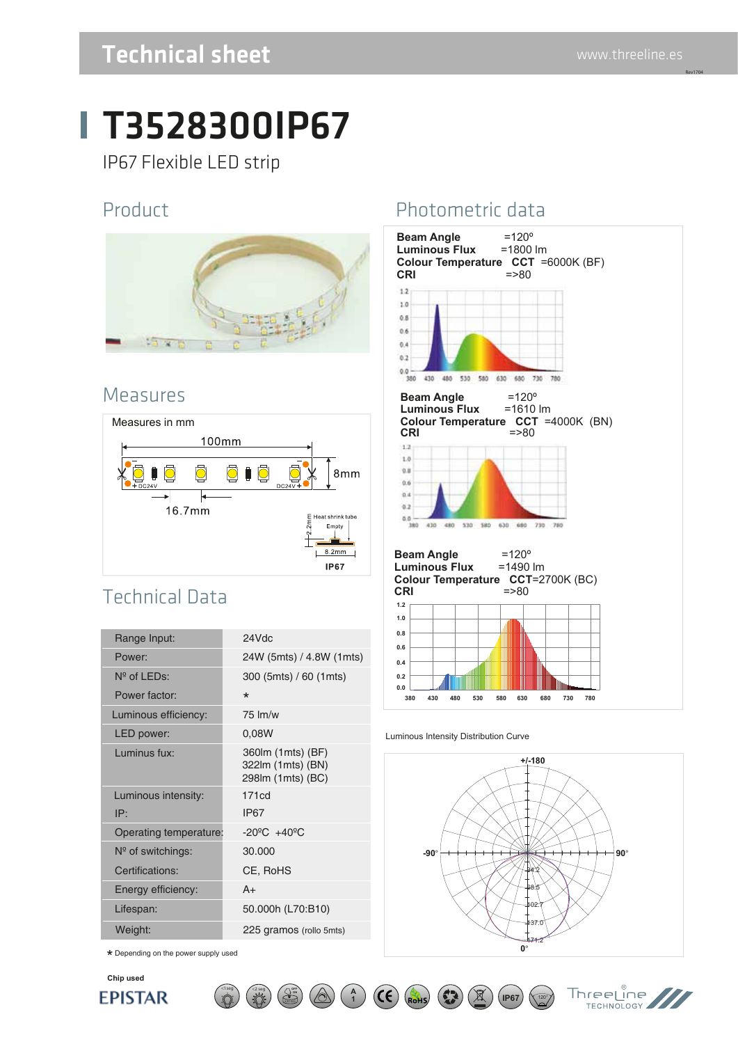Rev1704

### Technical sheet www.threeline.es

# T3528300IP67

IP67 Flexible LED strip

#### Product



#### Measures



### Technical Data

| 24Vdc                                                       |
|-------------------------------------------------------------|
| 24W (5mts) / 4.8W (1mts)                                    |
| 300 (5mts) / 60 (1mts)                                      |
| $\star$                                                     |
| 75 lm/w                                                     |
| 0,08W                                                       |
| 360lm (1mts) (BF)<br>322lm (1mts) (BN)<br>298lm (1mts) (BC) |
| 171cd                                                       |
| <b>IP67</b>                                                 |
| $-20^{\circ}$ C $+40^{\circ}$ C<br>Operating temperature:   |
| 30.000                                                      |
| CE, RoHS                                                    |
| $A+$                                                        |
| 50.000h (L70:B10)                                           |
| 225 gramos (rollo 5mts)                                     |
|                                                             |

**ON** X30.000

 $\lt$ 1seg  $\lt$   $\lt$ 2 seg  $\lt$   $\lt$   $\lt$   $\lt$ 

 $\star$  Depending on the power supply used



#### Photometric data



#### Luminous Intensity Distribution Curve